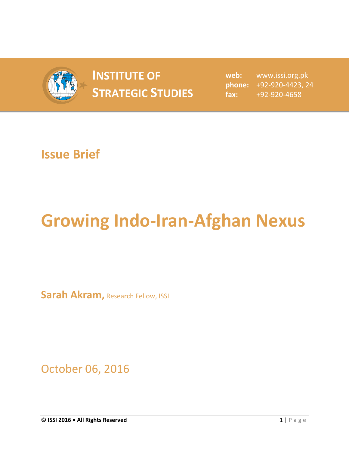

## **INSTITUTE OF STRATEGIC STUDIES**  $\begin{bmatrix} 1 & 1 \\ 1 & 2 \end{bmatrix}$

**web:** www.issi.org.pk **phone:** +92-920-4423, 24 **fax:** +92-920-4658

## **Issue Brief**

## **Growing Indo-Iran-Afghan Nexus**

**Sarah Akram, Research Fellow, ISSI** 

October 06, 2016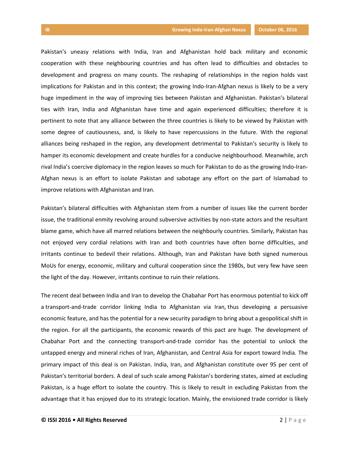Pakistan's uneasy relations with India, Iran and Afghanistan hold back military and economic cooperation with these neighbouring countries and has often lead to difficulties and obstacles to development and progress on many counts. The reshaping of relationships in the region holds vast implications for Pakistan and in this context; the growing Indo-Iran-Afghan nexus is likely to be a very huge impediment in the way of improving ties between Pakistan and Afghanistan. Pakistan's bilateral ties with Iran, India and Afghanistan have time and again experienced difficulties; therefore it is pertinent to note that any alliance between the three countries is likely to be viewed by Pakistan with some degree of cautiousness, and, is likely to have repercussions in the future. With the regional alliances being reshaped in the region, any development detrimental to Pakistan's security is likely to hamper its economic development and create hurdles for a conducive neighbourhood. Meanwhile, arch rival India's coercive diplomacy in the region leaves so much for Pakistan to do as the growing Indo-Iran-Afghan nexus is an effort to isolate Pakistan and sabotage any effort on the part of Islamabad to improve relations with Afghanistan and Iran.

Pakistan's bilateral difficulties with Afghanistan stem from a number of issues like the current border issue, the traditional enmity revolving around subversive activities by non-state actors and the resultant blame game, which have all marred relations between the neighbourly countries. Similarly, Pakistan has not enjoyed very cordial relations with Iran and both countries have often borne difficulties, and irritants continue to bedevil their relations. Although, Iran and Pakistan have both signed numerous MoUs for energy, economic, military and cultural cooperation since the 1980s, but very few have seen the light of the day. However, irritants continue to ruin their relations.

The recent deal between India and Iran to develop the Chabahar Port has enormous potential to kick off a transport-and-trade corridor linking India to Afghanistan via Iran, thus developing a persuasive economic feature, and has the potential for a new security paradigm to bring about a geopolitical shift in the region. For all the participants, the economic rewards of this pact are huge. The development of Chabahar Port and the connecting transport-and-trade corridor has the potential to unlock the untapped energy and mineral riches of Iran, Afghanistan, and Central Asia for export toward India. The primary impact of this deal is on Pakistan. India, Iran, and Afghanistan constitute over 95 per cent of Pakistan's territorial borders. A deal of such scale among Pakistan's bordering states, aimed at excluding Pakistan, is a huge effort to isolate the country. This is likely to result in excluding Pakistan from the advantage that it has enjoyed due to its strategic location. Mainly, the envisioned trade corridor is likely